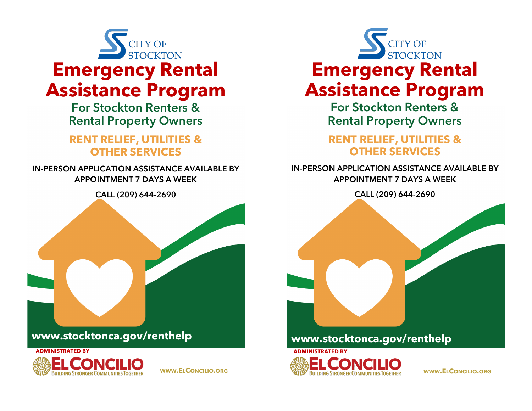

**For Stockton Renters & Rental Property Owners**

## **RENT RELIEF, UTILITIES & OTHER SERVICES**

**IN-PERSON APPLICATION ASSISTANCE AVAILABLE BY APPOINTMENT 7 DAYS A WEEK**

**CALL (209) 644-2690**





**WWW.ELCONCILIO.ORG**



**For Stockton Renters & Rental Property Owners**

## **RENT RELIEF, UTILITIES & OTHER SERVICES**

## **IN-PERSON APPLICATION ASSISTANCE AVAILABLE BY APPOINTMENT 7 DAYS A WEEK**

**CALL (209) 644-2690**





**WWW.ELCONCILIO.ORG**